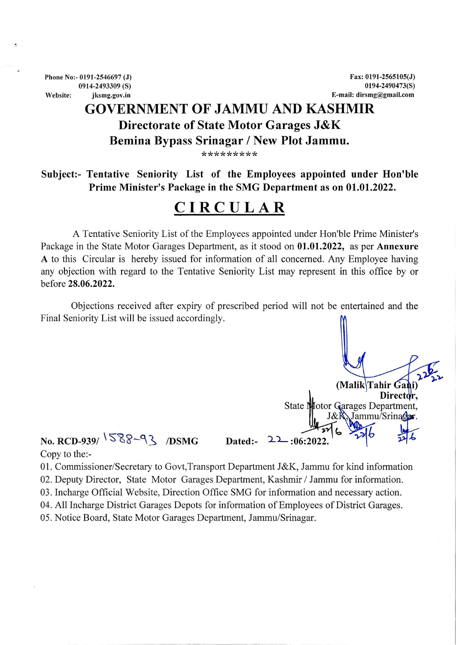Phone No:- 0191-2546697 (J) 0914-2493309 (S) Website: jksmg.gov.in

## GOVERNMENT OF JAMMU AND KASHMIR Directorate of State Motor Garages J&K Bemina Bypass Srinagar / New Plot Jammu. gar / 1<br>\*\*\*\*\*

**Subject:- Tentative Seniority List of the Employees appointed under Hon'ble Prime Minister's Package in the SMG Department as on 01.01.2022.**

## **CIRCULAR**

A Tentative Seniority List of the Employees appointed under Hon'ble Prime Minister's Package in the State Motor Garages Department, as it stood on **01.01.2022,** as per **Annexure <sup>A</sup>** to this Circular is hereby issued for information of all concerned. Any Employee having any objection with regard to the Tentative Seniority List may represent in this office by or before **28.06.2022.**

Objections received after expiry of prescribed period will not be entertained and the Final Seniority List will be issued accordingly.

**(Ma** birector,<br>dotor Garages Department, State N Jammu/Srinagar. **No. RCD-939/**  $\sqrt{588 - 93}$  /DSMG **Dated:-** 22:06:2022

Copy to the:-

01. Commissioner/Secretary to Govt,Transport Department J&K, Jammu for kind information

02. Deputy Director, State Motor Garages Department, Kashmir/Jammu for information.

03. Incharge Official Website, Direction Office SMG for information and necessary action.

04. All Incharge District Garages Depots for information of Employees of District Garages.

05. Notice Board, State Motor Garages Department, Jammu/Srinagar.